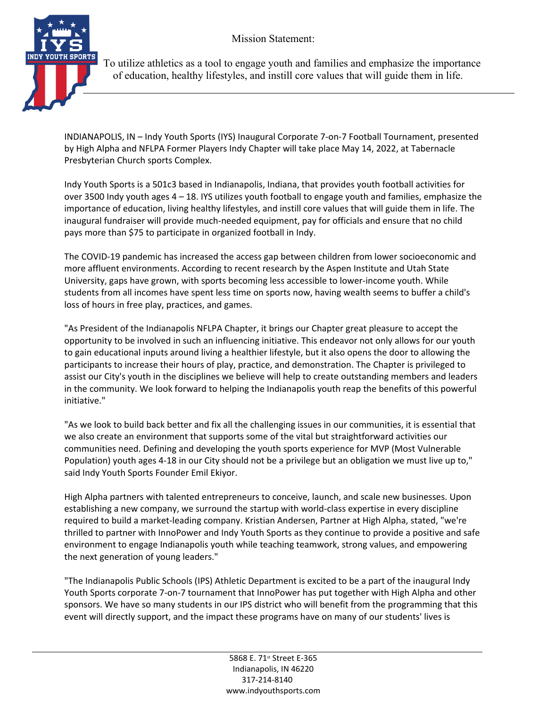Mission Statement:



 To utilize athletics as a tool to engage youth and families and emphasize the importance of education, healthy lifestyles, and instill core values that will guide them in life.

INDIANAPOLIS, IN – Indy Youth Sports (IYS) Inaugural Corporate 7-on-7 Football Tournament, presented by High Alpha and NFLPA Former Players Indy Chapter will take place May 14, 2022, at Tabernacle Presbyterian Church sports Complex.

Indy Youth Sports is a 501c3 based in Indianapolis, Indiana, that provides youth football activities for over 3500 Indy youth ages 4 – 18. IYS utilizes youth football to engage youth and families, emphasize the importance of education, living healthy lifestyles, and instill core values that will guide them in life. The inaugural fundraiser will provide much-needed equipment, pay for officials and ensure that no child pays more than \$75 to participate in organized football in Indy.

The COVID-19 pandemic has increased the access gap between children from lower socioeconomic and more affluent environments. According to recent research by the Aspen Institute and Utah State University, gaps have grown, with sports becoming less accessible to lower-income youth. While students from all incomes have spent less time on sports now, having wealth seems to buffer a child's loss of hours in free play, practices, and games.

"As President of the Indianapolis NFLPA Chapter, it brings our Chapter great pleasure to accept the opportunity to be involved in such an influencing initiative. This endeavor not only allows for our youth to gain educational inputs around living a healthier lifestyle, but it also opens the door to allowing the participants to increase their hours of play, practice, and demonstration. The Chapter is privileged to assist our City's youth in the disciplines we believe will help to create outstanding members and leaders in the community. We look forward to helping the Indianapolis youth reap the benefits of this powerful initiative."

"As we look to build back better and fix all the challenging issues in our communities, it is essential that we also create an environment that supports some of the vital but straightforward activities our communities need. Defining and developing the youth sports experience for MVP (Most Vulnerable Population) youth ages 4-18 in our City should not be a privilege but an obligation we must live up to," said Indy Youth Sports Founder Emil Ekiyor.

High Alpha partners with talented entrepreneurs to conceive, launch, and scale new businesses. Upon establishing a new company, we surround the startup with world-class expertise in every discipline required to build a market-leading company. Kristian Andersen, Partner at High Alpha, stated, "we're thrilled to partner with InnoPower and Indy Youth Sports as they continue to provide a positive and safe environment to engage Indianapolis youth while teaching teamwork, strong values, and empowering the next generation of young leaders."

"The Indianapolis Public Schools (IPS) Athletic Department is excited to be a part of the inaugural Indy Youth Sports corporate 7-on-7 tournament that InnoPower has put together with High Alpha and other sponsors. We have so many students in our IPS district who will benefit from the programming that this event will directly support, and the impact these programs have on many of our students' lives is